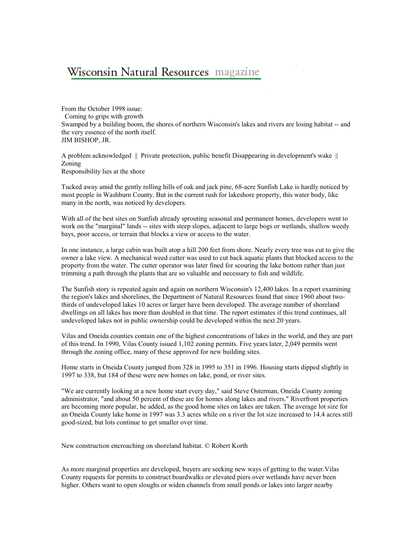# Wisconsin Natural Resources magazine

From the October 1998 issue: Coming to grips with growth Swamped by a building boom, the shores of northern Wisconsin's lakes and rivers are losing habitat -- and the very essence of the north itself. JIM BISHOP, JR.

A problem acknowledged || Private protection, public benefit Disappearing in development's wake || Zoning Responsibility lies at the shore

Tucked away amid the gently rolling hills of oak and jack pine, 68-acre Sunfish Lake is hardly noticed by most people in Washburn County. But in the current rush for lakeshore property, this water body, like many in the north, was noticed by developers.

With all of the best sites on Sunfish already sprouting seasonal and permanent homes, developers went to work on the "marginal" lands -- sites with steep slopes, adjacent to large bogs or wetlands, shallow weedy bays, poor access, or terrain that blocks a view or access to the water.

In one instance, a large cabin was built atop a hill 200 feet from shore. Nearly every tree was cut to give the owner a lake view. A mechanical weed cutter was used to cut back aquatic plants that blocked access to the property from the water. The cutter operator was later fined for scouring the lake bottom rather than just trimming a path through the plants that are so valuable and necessary to fish and wildlife.

The Sunfish story is repeated again and again on northern Wisconsin's 12,400 lakes. In a report examining the region's lakes and shorelines, the Department of Natural Resources found that since 1960 about twothirds of undeveloped lakes 10 acres or larger have been developed. The average number of shoreland dwellings on all lakes has more than doubled in that time. The report estimates if this trend continues, all undeveloped lakes not in public ownership could be developed within the next 20 years.

Vilas and Oneida counties contain one of the highest concentrations of lakes in the world, and they are part of this trend. In 1990, Vilas County issued 1,102 zoning permits. Five years later, 2,049 permits went through the zoning office, many of these approved for new building sites.

Home starts in Oneida County jumped from 328 in 1995 to 351 in 1996. Housing starts dipped slightly in 1997 to 338, but 184 of these were new homes on lake, pond, or river sites.

"We are currently looking at a new home start every day," said Steve Osterman, Oneida County zoning administrator, "and about 50 percent of these are for homes along lakes and rivers." Riverfront properties are becoming more popular, he added, as the good home sites on lakes are taken. The average lot size for an Oneida County lake home in 1997 was 3.3 acres while on a river the lot size increased to 14.4 acres still good-sized, but lots continue to get smaller over time.

New construction encroaching on shoreland habitat. © Robert Korth

As more marginal properties are developed, buyers are seeking new ways of getting to the water.Vilas County requests for permits to construct boardwalks or elevated piers over wetlands have never been higher. Others want to open sloughs or widen channels from small ponds or lakes into larger nearby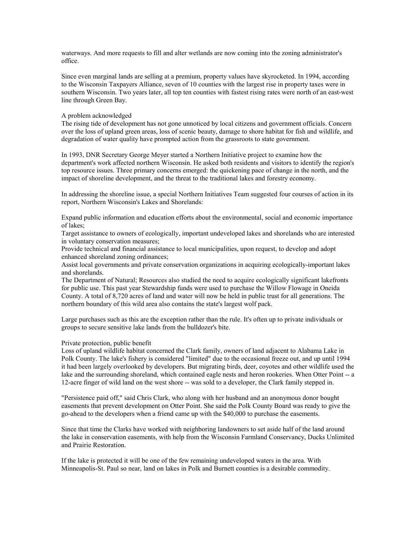waterways. And more requests to fill and alter wetlands are now coming into the zoning administrator's office.

Since even marginal lands are selling at a premium, property values have skyrocketed. In 1994, according to the Wisconsin Taxpayers Alliance, seven of 10 counties with the largest rise in property taxes were in southern Wisconsin. Two years later, all top ten counties with fastest rising rates were north of an east-west line through Green Bay.

## A problem acknowledged

The rising tide of development has not gone unnoticed by local citizens and government officials. Concern over the loss of upland green areas, loss of scenic beauty, damage to shore habitat for fish and wildlife, and degradation of water quality have prompted action from the grassroots to state government.

In 1993, DNR Secretary George Meyer started a Northern Initiative project to examine how the department's work affected northern Wisconsin. He asked both residents and visitors to identify the region's top resource issues. Three primary concerns emerged: the quickening pace of change in the north, and the impact of shoreline development, and the threat to the traditional lakes and forestry economy.

In addressing the shoreline issue, a special Northern Initiatives Team suggested four courses of action in its report, Northern Wisconsin's Lakes and Shorelands:

Expand public information and education efforts about the environmental, social and economic importance of lakes;

Target assistance to owners of ecologically, important undeveloped lakes and shorelands who are interested in voluntary conservation measures;

Provide technical and financial assistance to local municipalities, upon request, to develop and adopt enhanced shoreland zoning ordinances;

Assist local governments and private conservation organizations in acquiring ecologically-important lakes and shorelands.

The Department of Natural; Resources also studied the need to acquire ecologically significant lakefronts for public use. This past year Stewardship funds were used to purchase the Willow Flowage in Oneida County. A total of 8,720 acres of land and water will now be held in public trust for all generations. The northern boundary of this wild area also contains the state's largest wolf pack.

Large purchases such as this are the exception rather than the rule. It's often up to private individuals or groups to secure sensitive lake lands from the bulldozer's bite.

#### Private protection, public benefit

Loss of upland wildlife habitat concerned the Clark family, owners of land adjacent to Alabama Lake in Polk County. The lake's fishery is considered "limited" due to the occasional freeze out, and up until 1994 it had been largely overlooked by developers. But migrating birds, deer, coyotes and other wildlife used the lake and the surrounding shoreland, which contained eagle nests and heron rookeries. When Otter Point -- a 12-acre finger of wild land on the west shore -- was sold to a developer, the Clark family stepped in.

"Persistence paid off," said Chris Clark, who along with her husband and an anonymous donor bought easements that prevent development on Otter Point. She said the Polk County Board was ready to give the go-ahead to the developers when a friend came up with the \$40,000 to purchase the easements.

Since that time the Clarks have worked with neighboring landowners to set aside half of the land around the lake in conservation easements, with help from the Wisconsin Farmland Conservancy, Ducks Unlimited and Prairie Restoration.

If the lake is protected it will be one of the few remaining undeveloped waters in the area. With Minneapolis-St. Paul so near, land on lakes in Polk and Burnett counties is a desirable commodity.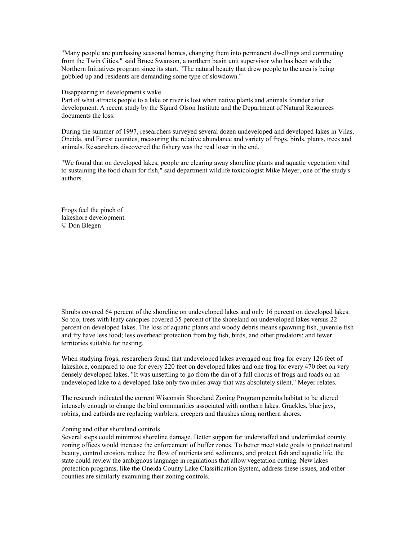"Many people are purchasing seasonal homes, changing them into permanent dwellings and commuting from the Twin Cities," said Bruce Swanson, a northern basin unit supervisor who has been with the Northern Initiatives program since its start. "The natural beauty that drew people to the area is being gobbled up and residents are demanding some type of slowdown."

Disappearing in development's wake

Part of what attracts people to a lake or river is lost when native plants and animals founder after development. A recent study by the Sigurd Olson Institute and the Department of Natural Resources documents the loss.

During the summer of 1997, researchers surveyed several dozen undeveloped and developed lakes in Vilas, Oneida, and Forest counties, measuring the relative abundance and variety of frogs, birds, plants, trees and animals. Researchers discovered the fishery was the real loser in the end.

"We found that on developed lakes, people are clearing away shoreline plants and aquatic vegetation vital to sustaining the food chain for fish," said department wildlife toxicologist Mike Meyer, one of the study's authors.

Frogs feel the pinch of lakeshore development. © Don Blegen

Shrubs covered 64 percent of the shoreline on undeveloped lakes and only 16 percent on developed lakes. So too, trees with leafy canopies covered 35 percent of the shoreland on undeveloped lakes versus 22 percent on developed lakes. The loss of aquatic plants and woody debris means spawning fish, juvenile fish and fry have less food; less overhead protection from big fish, birds, and other predators; and fewer territories suitable for nesting.

When studying frogs, researchers found that undeveloped lakes averaged one frog for every 126 feet of lakeshore, compared to one for every 220 feet on developed lakes and one frog for every 470 feet on very densely developed lakes. "It was unsettling to go from the din of a full chorus of frogs and toads on an undeveloped lake to a developed lake only two miles away that was absolutely silent," Meyer relates.

The research indicated the current Wisconsin Shoreland Zoning Program permits habitat to be altered intensely enough to change the bird communities associated with northern lakes. Grackles, blue jays, robins, and catbirds are replacing warblers, creepers and thrushes along northern shores.

### Zoning and other shoreland controls

Several steps could minimize shoreline damage. Better support for understaffed and underfunded county zoning offices would increase the enforcement of buffer zones. To better meet state goals to protect natural beauty, control erosion, reduce the flow of nutrients and sediments, and protect fish and aquatic life, the state could review the ambiguous language in regulations that allow vegetation cutting. New lakes protection programs, like the Oneida County Lake Classification System, address these issues, and other counties are similarly examining their zoning controls.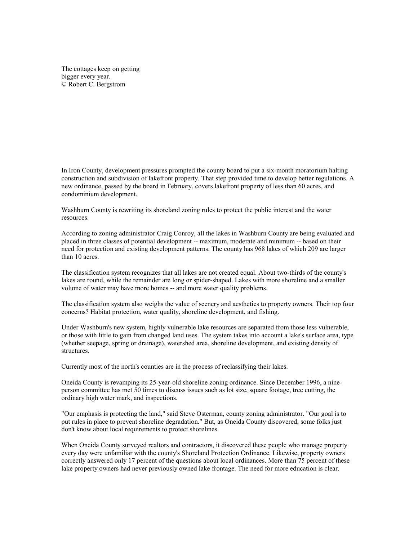The cottages keep on getting bigger every year. © Robert C. Bergstrom

In Iron County, development pressures prompted the county board to put a six-month moratorium halting construction and subdivision of lakefront property. That step provided time to develop better regulations. A new ordinance, passed by the board in February, covers lakefront property of less than 60 acres, and condominium development.

Washburn County is rewriting its shoreland zoning rules to protect the public interest and the water resources.

According to zoning administrator Craig Conroy, all the lakes in Washburn County are being evaluated and placed in three classes of potential development -- maximum, moderate and minimum -- based on their need for protection and existing development patterns. The county has 968 lakes of which 209 are larger than 10 acres.

The classification system recognizes that all lakes are not created equal. About two-thirds of the county's lakes are round, while the remainder are long or spider-shaped. Lakes with more shoreline and a smaller volume of water may have more homes -- and more water quality problems.

The classification system also weighs the value of scenery and aesthetics to property owners. Their top four concerns? Habitat protection, water quality, shoreline development, and fishing.

Under Washburn's new system, highly vulnerable lake resources are separated from those less vulnerable, or those with little to gain from changed land uses. The system takes into account a lake's surface area, type (whether seepage, spring or drainage), watershed area, shoreline development, and existing density of structures.

Currently most of the north's counties are in the process of reclassifying their lakes.

Oneida County is revamping its 25-year-old shoreline zoning ordinance. Since December 1996, a nineperson committee has met 50 times to discuss issues such as lot size, square footage, tree cutting, the ordinary high water mark, and inspections.

"Our emphasis is protecting the land," said Steve Osterman, county zoning administrator. "Our goal is to put rules in place to prevent shoreline degradation." But, as Oneida County discovered, some folks just don't know about local requirements to protect shorelines.

When Oneida County surveyed realtors and contractors, it discovered these people who manage property every day were unfamiliar with the county's Shoreland Protection Ordinance. Likewise, property owners correctly answered only 17 percent of the questions about local ordinances. More than 75 percent of these lake property owners had never previously owned lake frontage. The need for more education is clear.